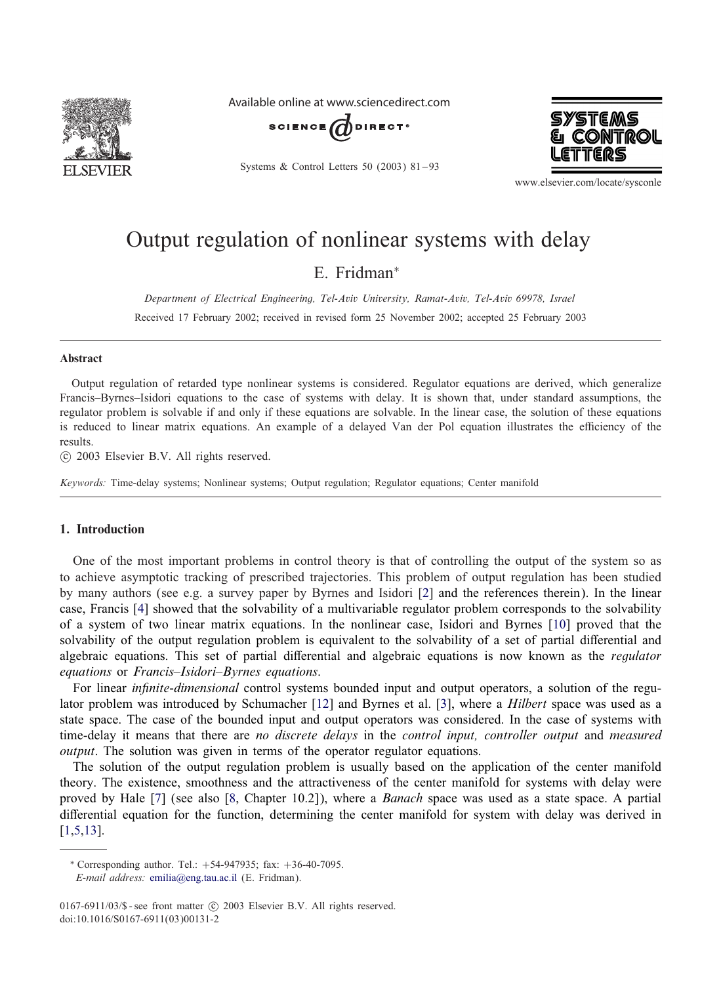

Available online at www.sciencedirect.com



Systems & Control Letters 50 (2003) 81 – 93



www.elsevier.com/locate/sysconle

# Output regulation of nonlinear systems with delay

E. Fridman<sup>∗</sup>

*Department of Electrical Engineering, Tel-Aviv University, Ramat-Aviv, Tel-Aviv 69978, Israel* Received 17 February 2002; received in revised form 25 November 2002; accepted 25 February 2003

#### Abstract

Output regulation of retarded type nonlinear systems is considered. Regulator equations are derived, which generalize Francis–Byrnes–Isidori equations to the case of systems with delay. It is shown that, under standard assumptions, the regulator problem is solvable if and only if these equations are solvable. In the linear case, the solution of these equations is reduced to linear matrix equations. An example of a delayed Van der Pol equation illustrates the efficiency of the results.

-c 2003 Elsevier B.V. All rights reserved.

*Keywords:* Time-delay systems; Nonlinear systems; Output regulation; Regulator equations; Center manifold

#### 1. Introduction

One of the most important problems in control theory is that of controlling the output of the system so as to achieve asymptotic tracking of prescribed trajectories. This problem of output regulation has been studied by many authors (see e.g. a survey paper by Byrnes and Isidori [\[2\]](#page-12-0) and the references therein). In the linear case, Francis [\[4\]](#page-12-0) showed that the solvability of a multivariable regulator problem corresponds to the solvability of a system of two linear matrix equations. In the nonlinear case, Isidori and Byrnes [\[10\]](#page-12-0) proved that the solvability of the output regulation problem is equivalent to the solvability of a set of partial differential and algebraic equations. This set of partial differential and algebraic equations is now known as the *regulator equations* or *Francis–Isidori–Byrnes equations*.

For linear *in'nite-dimensional* control systems bounded input and output operators, a solution of the regulator problem was introduced by Schumacher [\[12\]](#page-12-0) and Byrnes et al. [\[3\]](#page-12-0), where a *Hilbert* space was used as a state space. The case of the bounded input and output operators was considered. In the case of systems with time-delay it means that there are *no discrete delays* in the *control input, controller output* and *measured output*. The solution was given in terms of the operator regulator equations.

The solution of the output regulation problem is usually based on the application of the center manifold theory. The existence, smoothness and the attractiveness of the center manifold for systems with delay were proved by Hale [\[7\]](#page-12-0) (see also [\[8,](#page-12-0) Chapter 10.2]), where a *Banach* space was used as a state space. A partial differential equation for the function, determining the center manifold for system with delay was derived in [\[1,5,13\]](#page-12-0).

<sup>∗</sup> Corresponding author. Tel.: +54-947935; fax: +36-40-7095.

*E-mail address:* [emilia@eng.tau.ac.il](mailto:emilia@eng.tau.ac.il) (E. Fridman).

<sup>0167-6911/03/\$ -</sup> see front matter  $\odot$  2003 Elsevier B.V. All rights reserved. doi:10.1016/S0167-6911(03)00131-2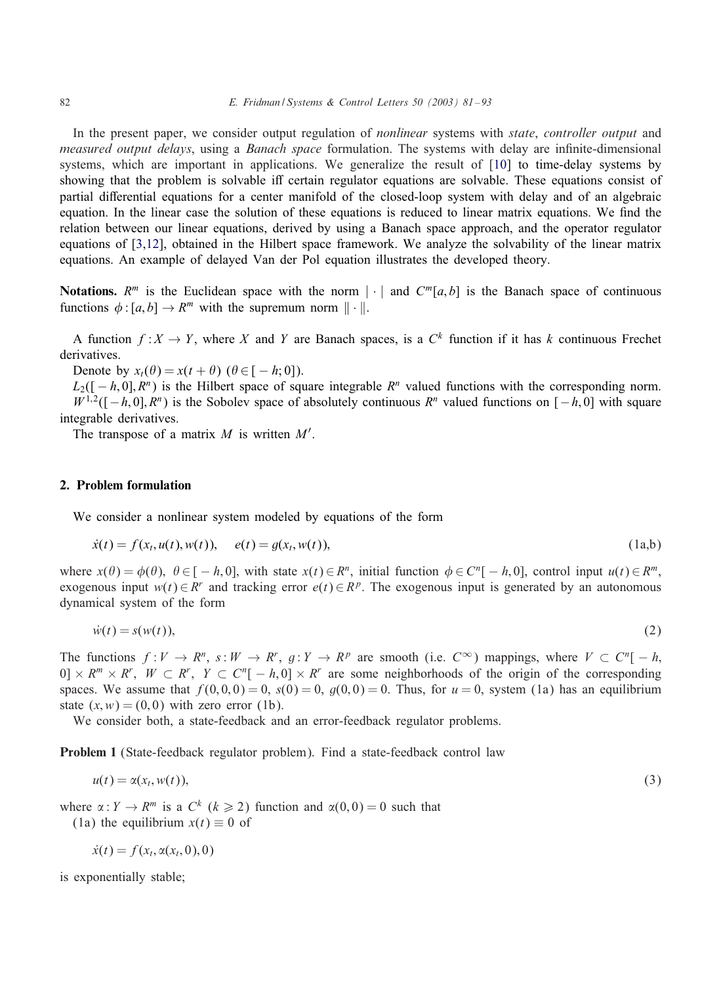<span id="page-1-0"></span>In the present paper, we consider output regulation of *nonlinear* systems with *state*, *controller output* and *measured output delays*, using a *Banach space* formulation. The systems with delay are infinite-dimensional systems, which are important in applications. We generalize the result of [\[10\]](#page-12-0) to time-delay systems by showing that the problem is solvable iff certain regulator equations are solvable. These equations consist of partial differential equations for a center manifold of the closed-loop system with delay and of an algebraic equation. In the linear case the solution of these equations is reduced to linear matrix equations. We End the relation between our linear equations, derived by using a Banach space approach, and the operator regulator equations of [\[3,12\]](#page-12-0), obtained in the Hilbert space framework. We analyze the solvability of the linear matrix equations. An example of delayed Van der Pol equation illustrates the developed theory.

**Notations.**  $R^m$  is the Euclidean space with the norm | | and  $C^m[a, b]$  is the Banach space of continuous functions  $\phi : [a, b] \to \mathbb{R}^m$  with the supremum norm  $\|\cdot\|$ .

A function  $f: X \to Y$ , where X and Y are Banach spaces, is a  $C^k$  function if it has k continuous Frechet derivatives.

Denote by  $x_t(\theta) = x(t + \theta)$  ( $\theta \in [-h, 0]$ ).

 $L_2([-h, 0], R^n)$  is the Hilbert space of square integrable  $R^n$  valued functions with the corresponding norm.  $W^{1,2}([-h, 0], R^n)$  is the Sobolev space of absolutely continuous  $R^n$  valued functions on  $[-h, 0]$  with square integrable derivatives.

The transpose of a matrix  $M$  is written  $M'$ .

#### 2. Problem formulation

We consider a nonlinear system modeled by equations of the form

$$
\dot{x}(t) = f(x_t, u(t), w(t)), \quad e(t) = g(x_t, w(t)), \tag{1a,b}
$$

where  $x(\theta) = \phi(\theta)$ ,  $\theta \in [-h, 0]$ , with state  $x(t) \in \mathbb{R}^n$ , initial function  $\phi \in \mathbb{C}^n[-h, 0]$ , control input  $u(t) \in \mathbb{R}^m$ , exogenous input  $w(t) \in R^r$  and tracking error  $e(t) \in R^p$ . The exogenous input is generated by an autonomous dynamical system of the form

$$
\dot{w}(t) = s(w(t)),\tag{2}
$$

The functions  $f: V \to R^n$ ,  $s: W \to R^r$ ,  $g: Y \to R^p$  are smooth (i.e.  $C^{\infty}$ ) mappings, where  $V \subset C^n[-h, \frac{1}{2}]$  $[0] \times R^m \times R^r$ ,  $W \subset R^r$ ,  $Y \subset C^n[-h, 0] \times R^r$  are some neighborhoods of the origin of the corresponding spaces. We assume that  $f(0, 0, 0) = 0$ ,  $g(0) = 0$ ,  $g(0, 0) = 0$ . Thus, for  $u = 0$ , system (1a) has an equilibrium state  $(x, w) = (0, 0)$  with zero error (1b).

We consider both, a state-feedback and an error-feedback regulator problems.

Problem 1 (State-feedback regulator problem): Find a state-feedback control law

$$
u(t) = \alpha(x_t, w(t)),
$$
\n(3)

where  $\alpha: Y \to R^m$  is a  $C^k$  ( $k \ge 2$ ) function and  $\alpha(0, 0) = 0$  such that

(1a) the equilibrium  $x(t) \equiv 0$  of

$$
\dot{x}(t) = f(x_t, \alpha(x_t, 0), 0)
$$

is exponentially stable;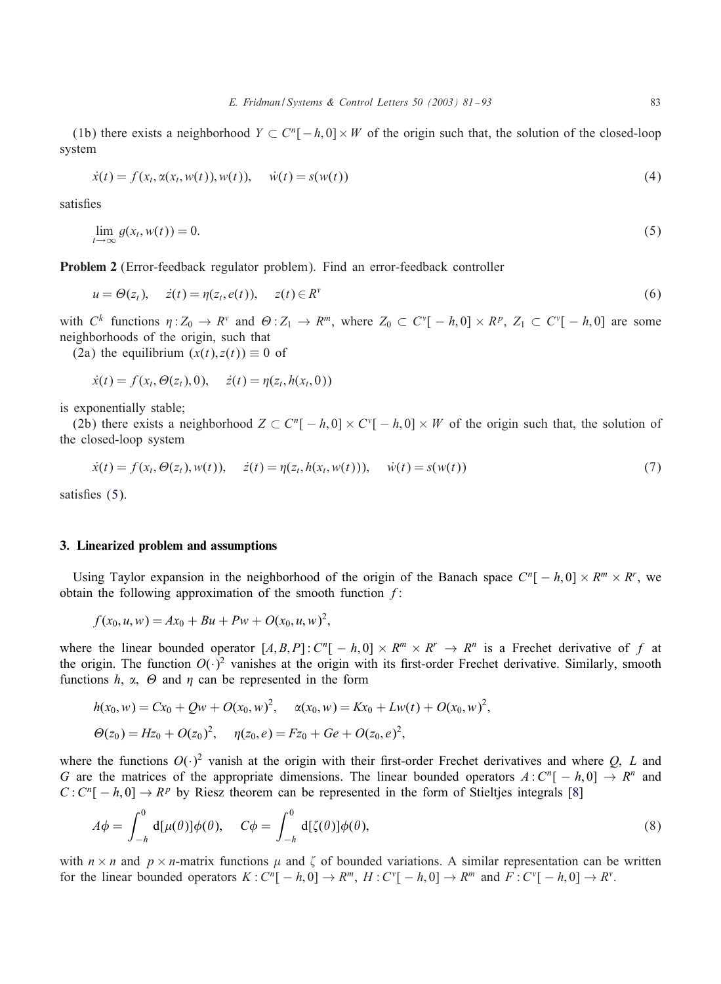<span id="page-2-0"></span>(1b) there exists a neighborhood  $Y \subset C^n[-h, 0] \times W$  of the origin such that, the solution of the closed-loop system

$$
\dot{x}(t) = f(x_t, \alpha(x_t, w(t)), w(t)), \quad \dot{w}(t) = s(w(t))
$$
\n(4)

satisfies

$$
\lim_{t \to \infty} g(x_t, w(t)) = 0. \tag{5}
$$

Problem 2 (Error-feedback regulator problem): Find an error-feedback controller

$$
u = \Theta(z_t), \quad \dot{z}(t) = \eta(z_t, e(t)), \quad z(t) \in R^{\nu}
$$
\n
$$
(6)
$$

with  $C^k$  functions  $\eta: Z_0 \to R^{\nu}$  and  $\Theta: Z_1 \to R^m$ , where  $Z_0 \subset C^{\nu}[-h, 0] \times R^p$ ,  $Z_1 \subset C^{\nu}[-h, 0]$  are some neighborhoods of the origin, such that

(2a) the equilibrium  $(x(t), z(t)) \equiv 0$  of

$$
\dot{x}(t) = f(x_t, \Theta(z_t), 0), \quad \dot{z}(t) = \eta(z_t, h(x_t, 0))
$$

is exponentially stable;

(2b) there exists a neighborhood  $Z \subset C^{n}[-h,0] \times C^{v}[-h,0] \times W$  of the origin such that, the solution of the closed-loop system

$$
\dot{x}(t) = f(x_t, \Theta(z_t), w(t)), \quad \dot{z}(t) = \eta(z_t, h(x_t, w(t))), \quad \dot{w}(t) = s(w(t))
$$
\n(7)

satisfies  $(5)$ .

#### 3. Linearized problem and assumptions

Using Taylor expansion in the neighborhood of the origin of the Banach space  $C^n[-h, 0] \times R^m \times R^r$ , we obtain the following approximation of the smooth function  $f$ :

$$
f(x_0, u, w) = Ax_0 + Bu + Pw + O(x_0, u, w)^2,
$$

where the linear bounded operator  $[A, B, P]$ :  $C^n[-h, 0] \times R^m \times R^r \rightarrow R^n$  is a Frechet derivative of f at the origin. The function  $O(\cdot)^2$  vanishes at the origin with its first-order Frechet derivative. Similarly, smooth functions h,  $\alpha$ ,  $\Theta$  and  $\eta$  can be represented in the form

$$
h(x_0, w) = Cx_0 + Qw + O(x_0, w)^2, \quad \alpha(x_0, w) = Kx_0 + Lw(t) + O(x_0, w)^2,
$$
  

$$
\Theta(z_0) = Hz_0 + O(z_0)^2, \quad \eta(z_0, e) = Fz_0 + Ge + O(z_0, e)^2,
$$

where the functions  $O(·)^2$  vanish at the origin with their first-order Frechet derivatives and where O, L and G are the matrices of the appropriate dimensions. The linear bounded operators  $A: C^{n}[-h, 0] \rightarrow R^{n}$  and  $C: C^n[-h, 0] \to R^p$  by Riesz theorem can be represented in the form of Stieltjes integrals [\[8\]](#page-12-0)

$$
A\phi = \int_{-h}^{0} d[\mu(\theta)]\phi(\theta), \quad C\phi = \int_{-h}^{0} d[\zeta(\theta)]\phi(\theta), \tag{8}
$$

with  $n \times n$  and  $p \times n$ -matrix functions  $\mu$  and  $\zeta$  of bounded variations. A similar representation can be written for the linear bounded operators  $K: C^{n}[-h, 0] \to R^{m}, H: C^{v}[-h, 0] \to R^{m}$  and  $F: C^{v}[-h, 0] \to R^{v}$ .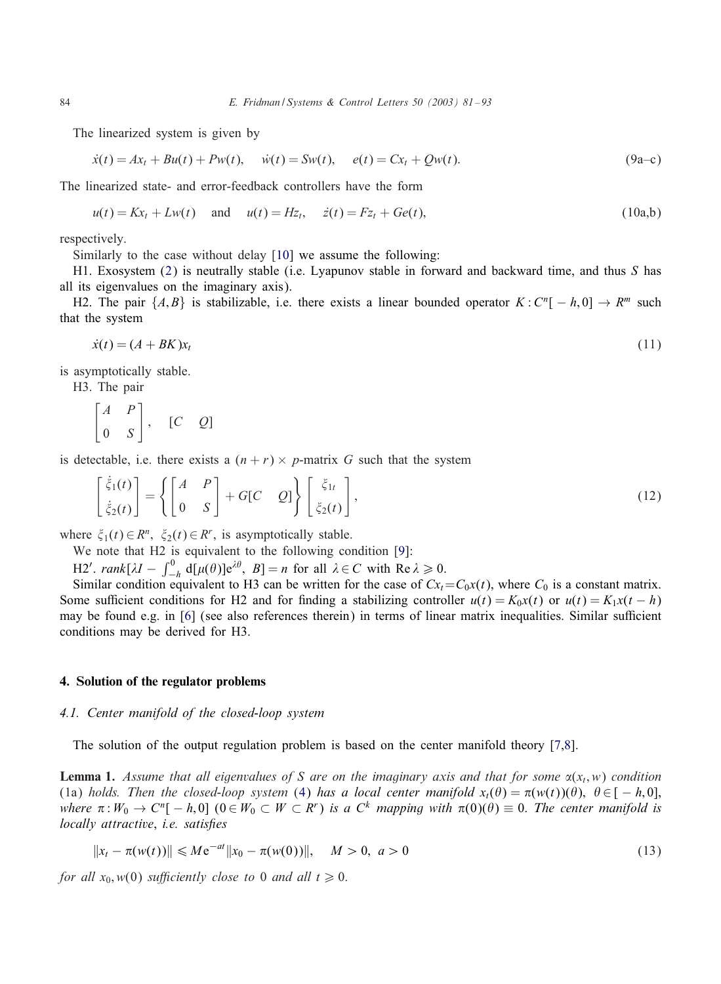The linearized system is given by

$$
\dot{x}(t) = Ax_t + Bu(t) + Pw(t), \quad \dot{w}(t) = Sw(t), \quad e(t) = Cx_t + Qw(t).
$$
\n(9a-c)

The linearized state- and error-feedback controllers have the form

$$
u(t) = Kx_t + Lw(t)
$$
 and  $u(t) = Hz_t$ ,  $\dot{z}(t) = Fz_t + Ge(t)$ , (10a,b)

respectively.

Similarly to the case without delay [\[10\]](#page-12-0) we assume the following:

H1. Exosystem [\(2\)](#page-1-0) is neutrally stable (i.e. Lyapunov stable in forward and backward time, and thus S has all its eigenvalues on the imaginary axis).

H2. The pair  $\{A, B\}$  is stabilizable, i.e. there exists a linear bounded operator  $K : C^n[-h, 0] \to R^m$  such that the system

$$
\dot{x}(t) = (A + BK)x_t \tag{11}
$$

is asymptotically stable.

H3. The pair

$$
\begin{bmatrix} A & P \\ 0 & S \end{bmatrix}, \quad [C \quad Q]
$$

is detectable, i.e. there exists a  $(n + r) \times p$ -matrix G such that the system

$$
\begin{bmatrix} \dot{\xi}_1(t) \\ \dot{\xi}_2(t) \end{bmatrix} = \left\{ \begin{bmatrix} A & P \\ 0 & S \end{bmatrix} + G[C & Q] \right\} \begin{bmatrix} \xi_{1t} \\ \xi_2(t) \end{bmatrix},
$$
\n(12)

where  $\xi_1(t) \in R^n$ ,  $\xi_2(t) \in R^r$ , is asymptotically stable.

We note that H2 is equivalent to the following condition [\[9\]](#page-12-0):

H2'. rank[ $\lambda I - \int_{-h}^{0} d[\mu(\theta)] e^{\lambda \theta}, B] = n$  for all  $\lambda \in C$  with Re  $\lambda \ge 0$ .

Similar condition equivalent to H3 can be written for the case of  $Cx_t = C_0x(t)$ , where  $C_0$  is a constant matrix. Some sufficient conditions for H2 and for finding a stabilizing controller  $u(t) = K_0x(t)$  or  $u(t) = K_1x(t - h)$ may be found e.g. in [\[6\]](#page-12-0) (see also references therein) in terms of linear matrix inequalities. Similar sufficient conditions may be derived for H3.

#### 4. Solution of the regulator problems

#### 4.1. Center manifold of the closed-loop system

The solution of the output regulation problem is based on the center manifold theory [\[7,8\]](#page-12-0).

**Lemma 1.** Assume that all eigenvalues of S are on the imaginary axis and that for some  $\alpha(x_t, w)$  condition (1a) *holds. Then the closed-loop system* [\(4\)](#page-2-0) *has a local center manifold*  $x_t(\theta) = \pi(w(t))(\theta)$ ,  $\theta \in [-h, 0]$ ,  $where \pi: W_0 \to C^n[-h,0] \ (0 \in W_0 \subset W \subset R^r) \ is \ a \ C^k$  *mapping with*  $\pi(0)(\theta) \equiv 0$ . *The center manifold is locally attractive*, *i.e. satis'es*

$$
||x_t - \pi(w(t))|| \le Me^{-at}||x_0 - \pi(w(0))||, \quad M > 0, \ a > 0
$$
\n(13)

*for all*  $x_0$ ,  $w(0)$  *sufficiently close to* 0 *and all*  $t \ge 0$ .

<span id="page-3-0"></span>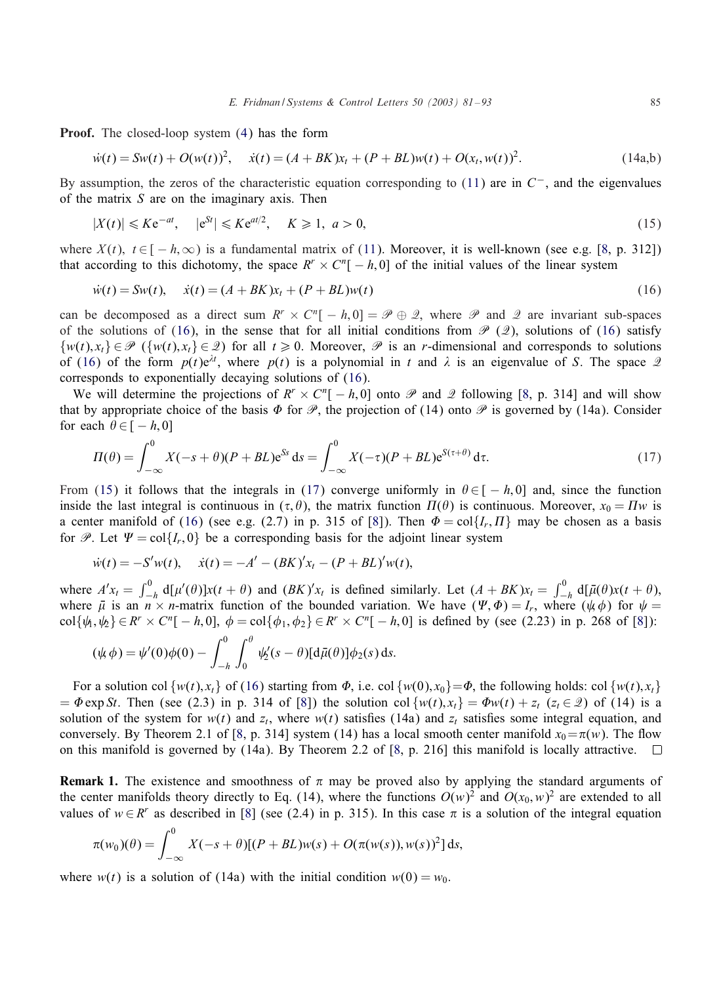<span id="page-4-0"></span>Proof. The closed-loop system [\(4\)](#page-2-0) has the form

$$
\dot{w}(t) = Sw(t) + O(w(t))^2, \quad \dot{x}(t) = (A + BK)x_t + (P + BL)w(t) + O(x_t, w(t))^2.
$$
\n(14a,b)

By assumption, the zeros of the characteristic equation corresponding to [\(11\)](#page-3-0) are in  $C^-$ , and the eigenvalues of the matrix  $S$  are on the imaginary axis. Then

$$
|X(t)| \leqslant Ke^{-at}, \quad |e^{St}| \leqslant Ke^{at/2}, \quad K \geqslant 1, \ a > 0,
$$
\n
$$
(15)
$$

where  $X(t)$ ,  $t \in [-h,\infty)$  is a fundamental matrix of [\(11\)](#page-3-0). Moreover, it is well-known (see e.g. [\[8,](#page-12-0) p. 312]) that according to this dichotomy, the space  $R^r \times C^n[-h, 0]$  of the initial values of the linear system

$$
\dot{w}(t) = Sw(t), \quad \dot{x}(t) = (A + BK)x_t + (P + BL)w(t)
$$
\n(16)

can be decomposed as a direct sum  $R^r \times C^r[-h, 0] = \mathcal{P} \oplus \mathcal{Q}$ , where  $\mathcal{P}$  and  $\mathcal{Q}$  are invariant sub-spaces of the solutions of (16), in the sense that for all initial conditions from  $\mathscr{P}$  (2), solutions of (16) satisfy  $\{w(t), x_t\} \in \mathcal{P}$  ( $\{w(t), x_t\} \in \mathcal{Q}$ ) for all  $t \ge 0$ . Moreover,  $\mathcal{P}$  is an r-dimensional and corresponds to solutions of (16) of the form  $p(t)e^{\lambda t}$ , where  $p(t)$  is a polynomial in t and  $\lambda$  is an eigenvalue of S. The space  $\mathcal{Q}$ corresponds to exponentially decaying solutions of (16).

We will determine the projections of  $R^r \times C^n[-h,0]$  onto  $\mathscr P$  and  $\mathscr Q$  following [\[8,](#page-12-0) p. 314] and will show that by appropriate choice of the basis  $\Phi$  for  $\mathcal P$ , the projection of (14) onto  $\mathcal P$  is governed by (14a). Consider for each  $\theta \in [-h, 0]$ 

$$
\Pi(\theta) = \int_{-\infty}^{0} X(-s+\theta)(P+BL)e^{Ss} ds = \int_{-\infty}^{0} X(-\tau)(P+BL)e^{S(\tau+\theta)} d\tau.
$$
\n(17)

From (15) it follows that the integrals in (17) converge uniformly in  $\theta \in [-h, 0]$  and, since the function inside the last integral is continuous in  $(\tau, \theta)$ , the matrix function  $\Pi(\theta)$  is continuous. Moreover,  $x_0 = \Pi w$  is a center manifold of (16) (see e.g. (2.7) in p. 315 of [\[8\]](#page-12-0)). Then  $\Phi = \text{col}\{I_r, \Pi\}$  may be chosen as a basis for P. Let  $\Psi = \text{col}\{I_r, 0\}$  be a corresponding basis for the adjoint linear system

$$
\dot{w}(t) = -S'w(t), \quad \dot{x}(t) = -A' - (BK)'x_t - (P + BL)'w(t),
$$

where  $A'x_t = \int_{-h}^{0} d[\mu'(\theta)]x(t + \theta)$  and  $(BK)'x_t$  is defined similarly. Let  $(A + BK)x_t = \int_{-h}^{0} d[\bar{\mu}(\theta)x(t + \theta)]$ ,<br>where  $\bar{\mu}$  is an  $n \times n$ -matrix function of the bounded variation. We have  $(\Psi, \Phi) = I_r$ , where  $(\psi, \phi)$  for  $\psi =$  $\text{col}\{\psi_1,\psi_2\} \in \mathbb{R}^r \times \mathbb{C}^n[-h,0], \ \phi = \text{col}\{\phi_1,\phi_2\} \in \mathbb{R}^r \times \mathbb{C}^n[-h,0]$  is defined by (see (2.23) in p. 268 of [\[8\]](#page-12-0)):

$$
(\psi \phi) = \psi'(0)\phi(0) - \int_{-h}^{0} \int_{0}^{\theta} \psi_2'(s-\theta) [\mathrm{d}\bar{\mu}(\theta)] \phi_2(s) \, \mathrm{d}s.
$$

For a solution col  $\{w(t), x_t\}$  of (16) starting from  $\Phi$ , i.e. col  $\{w(0), x_0\} = \Phi$ , the following holds: col  $\{w(t), x_t\}$  $= \Phi \exp St$ . Then (see (2.3) in p. 314 of [\[8\]](#page-12-0)) the solution col  $\{w(t), x_t\} = \Phi w(t) + z_t$  ( $z_t \in \mathcal{Q}$ ) of (14) is a solution of the system for  $w(t)$  and  $z_t$ , where  $w(t)$  satisfies (14a) and  $z_t$  satisfies some integral equation, and conversely. By Theorem 2.1 of [\[8,](#page-12-0) p. 314] system (14) has a local smooth center manifold  $x_0 = \pi(w)$ . The flow on this manifold is governed by (14a). By Theorem 2.2 of [\[8,](#page-12-0) p. 216] this manifold is locally attractive.  $\square$ 

**Remark 1.** The existence and smoothness of  $\pi$  may be proved also by applying the standard arguments of the center manifolds theory directly to Eq. (14), where the functions  $O(w)^2$  and  $O(x_0, w)^2$  are extended to all values of  $w \in R^r$  as described in [\[8\]](#page-12-0) (see (2.4) in p. 315). In this case  $\pi$  is a solution of the integral equation

$$
\pi(w_0)(\theta) = \int_{-\infty}^0 X(-s+\theta)[(P + BL)w(s) + O(\pi(w(s)), w(s))^2] ds,
$$

where  $w(t)$  is a solution of (14a) with the initial condition  $w(0) = w_0$ .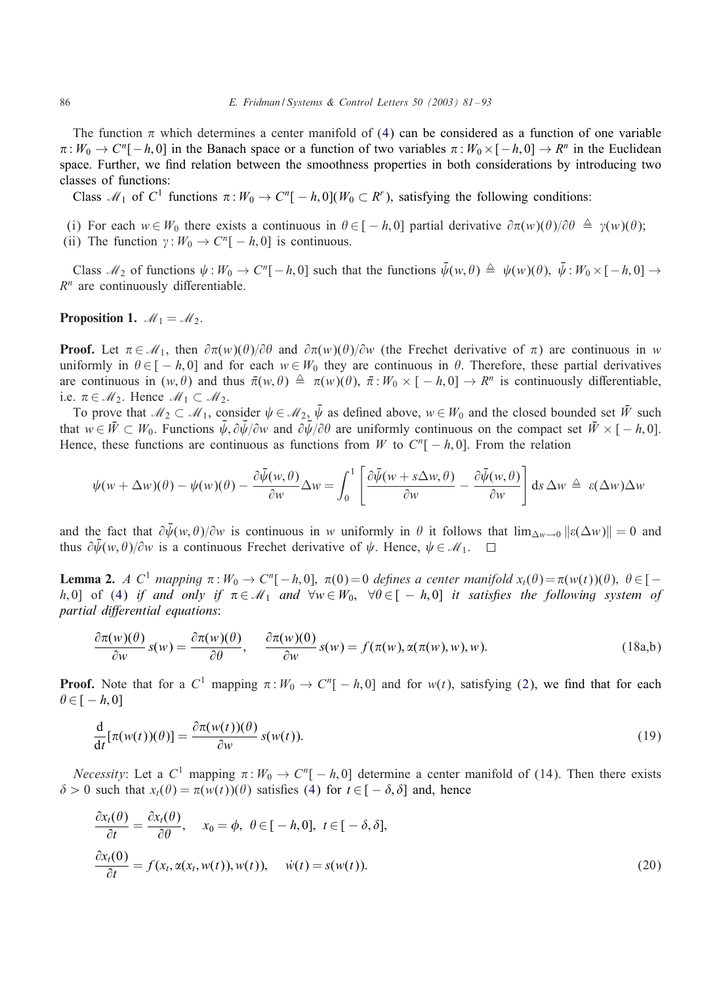<span id="page-5-0"></span>The function  $\pi$  which determines a center manifold of [\(4\)](#page-2-0) can be considered as a function of one variable  $\pi: W_0 \to C^n[-h, 0]$  in the Banach space or a function of two variables  $\pi: W_0 \times [-h, 0] \to R^n$  in the Euclidean space. Further, we End relation between the smoothness properties in both considerations by introducing two classes of functions:

Class  $\mathcal{M}_1$  of C<sup>1</sup> functions  $\pi : W_0 \to C^n[-h,0](W_0 \subset R^r)$ , satisfying the following conditions:

- (i) For each  $w \in W_0$  there exists a continuous in  $\theta \in [-h, 0]$  partial derivative  $\partial \pi(w)(\theta)/\partial \theta \triangleq \gamma(w)(\theta);$
- (ii) The function  $\gamma : W_0 \to C^n[-h, 0]$  is continuous.

Class  $\mathcal{M}_2$  of functions  $\psi : W_0 \to C^n[-h, 0]$  such that the functions  $\bar{\psi}(w, \theta) \triangleq \psi(w)(\theta)$ ,  $\bar{\psi} : W_0 \times [-h, 0] \to$  $R<sup>n</sup>$  are continuously differentiable.

# **Proposition 1.**  $M_1 = M_2$ .

**Proof.** Let  $\pi \in \mathcal{M}_1$ , then  $\partial \pi(w)(\theta)/\partial \theta$  and  $\partial \pi(w)(\theta)/\partial w$  (the Frechet derivative of  $\pi$ ) are continuous in w uniformly in  $\theta \in [-h, 0]$  and for each  $w \in W_0$  they are continuous in  $\theta$ . Therefore, these partial derivatives are continuous in  $(w, \theta)$  and thus  $\bar{\pi}(w, \theta) \triangleq \pi(w)(\theta)$ ,  $\bar{\pi}: W_0 \times [-h, 0] \to R^n$  is continuously differentiable, i.e.  $\pi \in M_2$ . Hence  $M_1 \subset M_2$ .

To prove that  $M_2 \subset M_1$ , consider  $\psi \in M_2$ ,  $\bar{\psi}$  as defined above,  $w \in W_0$  and the closed bounded set  $\bar{W}$  such that  $w \in \bar{W} \subset W_0$ . Functions  $\bar{\psi}, \partial \bar{\psi}/\partial w$  and  $\partial \bar{\psi}/\partial \theta$  are uniformly continuous on the compact set  $\bar{W} \times [-h, 0]$ . Hence, these functions are continuous as functions from W to  $C^n[-h, 0]$ . From the relation

$$
\psi(w + \Delta w)(\theta) - \psi(w)(\theta) - \frac{\partial \bar{\psi}(w, \theta)}{\partial w} \Delta w = \int_0^1 \left[ \frac{\partial \bar{\psi}(w + s \Delta w, \theta)}{\partial w} - \frac{\partial \bar{\psi}(w, \theta)}{\partial w} \right] ds \, \Delta w \triangleq \epsilon(\Delta w) \Delta w
$$

and the fact that  $\partial \bar{\psi}(w, \theta)/\partial w$  is continuous in w uniformly in  $\theta$  it follows that  $\lim_{\Delta w \to 0} ||\varepsilon(\Delta w)|| = 0$  and thus  $\partial \bar{\psi}(w, \theta)/\partial w$  is a continuous Frechet derivative of  $\psi$ . Hence,  $\psi \in \mathcal{M}_1$ .

**Lemma 2.** *A* C<sup>1</sup> mapping  $\pi: W_0 \to C^n[-h, 0]$ ,  $\pi(0) = 0$  defines a center manifold  $x_t(\theta) = \pi(w(t))(\theta)$ ,  $\theta \in [-h, 0]$ h; 0] of [\(4\)](#page-2-0) *if and only if*  $\pi \in \mathcal{M}_1$  *and*  $\forall w \in W_0$ ,  $\forall \theta \in [-h, 0]$  *it satisfies the following system of partial differential equations:* 

$$
\frac{\partial \pi(w)(\theta)}{\partial w} s(w) = \frac{\partial \pi(w)(\theta)}{\partial \theta}, \quad \frac{\partial \pi(w)(0)}{\partial w} s(w) = f(\pi(w), \alpha(\pi(w), w), w). \tag{18a,b}
$$

**Proof.** Note that for a  $C^1$  mapping  $\pi: W_0 \to C^n[-h, 0]$  and for  $w(t)$ , satisfying [\(2\)](#page-1-0), we find that for each  $\theta \in [-h, 0]$ 

$$
\frac{d}{dt}[\pi(w(t))(\theta)] = \frac{\partial \pi(w(t))(\theta)}{\partial w} s(w(t)).
$$
\n(19)

*Necessity*: Let a  $C^1$  mapping  $\pi : W_0 \to C^n[-h, 0]$  determine a center manifold of (14). Then there exists  $\delta > 0$  such that  $x_t(\theta) = \pi(w(t))(\theta)$  satisfies [\(4\)](#page-2-0) for  $t \in [-\delta, \delta]$  and, hence

$$
\frac{\partial x_t(\theta)}{\partial t} = \frac{\partial x_t(\theta)}{\partial \theta}, \quad x_0 = \phi, \ \theta \in [-h, 0], \ t \in [-\delta, \delta],
$$
  

$$
\frac{\partial x_t(0)}{\partial t} = f(x_t, \alpha(x_t, w(t)), w(t)), \quad \dot{w}(t) = s(w(t)).
$$
\n(20)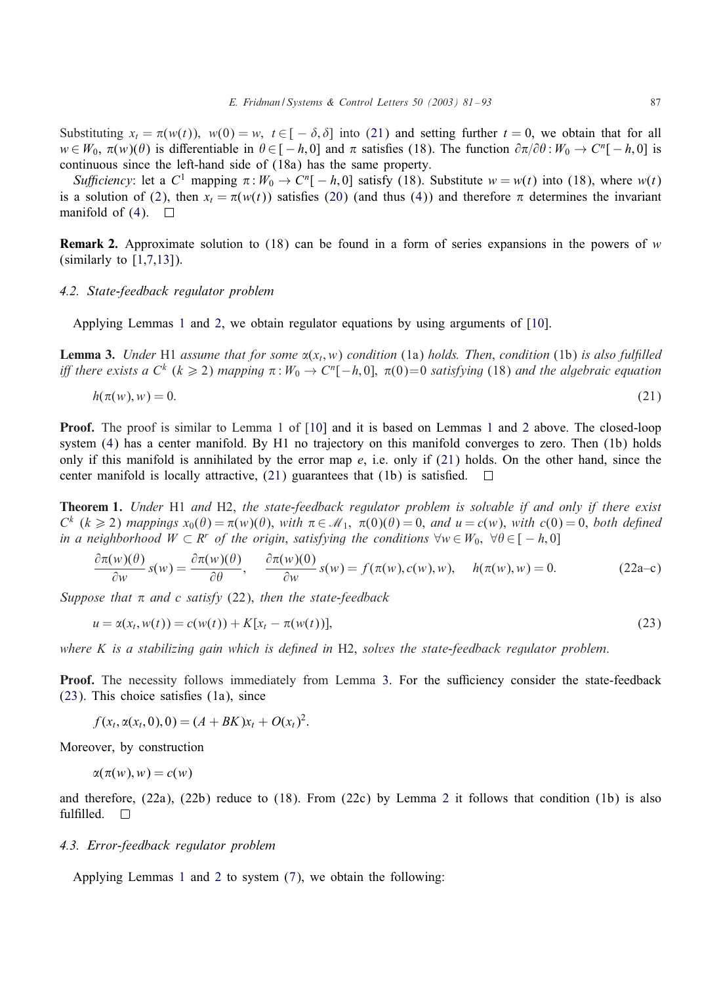<span id="page-6-0"></span>Substituting  $x_t = \pi(w(t))$ ,  $w(0) = w$ ,  $t \in [-\delta, \delta]$  into (21) and setting further  $t = 0$ , we obtain that for all  $w \in W_0$ ,  $\pi(w)(\theta)$  is differentiable in  $\theta \in [-h, 0]$  and  $\pi$  satisfies (18). The function  $\partial \pi/\partial \theta : W_0 \to C^n[-h, 0]$  is continuous since the left-hand side of (18a) has the same property.

*Sufficiency*: let a  $C^1$  mapping  $\pi : W_0 \to C^n[-h, 0]$  satisfy (18). Substitute  $w = w(t)$  into (18), where  $w(t)$ is a solution of [\(2\)](#page-1-0), then  $x_t = \pi(w(t))$  satisfies [\(20\)](#page-5-0) (and thus [\(4\)](#page-2-0)) and therefore  $\pi$  determines the invariant manifold of [\(4\)](#page-2-0).  $\Box$ 

**Remark 2.** Approximate solution to (18) can be found in a form of series expansions in the powers of w (similarly to  $[1,7,13]$ ).

#### *4.2. State-feedback regulator problem*

Applying Lemmas [1](#page-3-0) and [2,](#page-5-0) we obtain regulator equations by using arguments of [\[10\]](#page-12-0).

**Lemma 3.** *Under* H1 *assume that for some*  $\alpha(x_t, w)$  *condition* (1a) *holds. Then, condition* (1b) *is also fulfilled iff there exists a*  $C^k$  ( $k \ge 2$ ) *mapping*  $\pi : W_0 \to C^n[-h, 0]$ ,  $\pi(0)=0$  *satisfying* (18) *and the algebraic equation* 

$$
h(\pi(w), w) = 0. \tag{21}
$$

Proof. The proof is similar to Lemma 1 of [\[10\]](#page-12-0) and it is based on Lemmas [1](#page-3-0) and [2](#page-5-0) above. The closed-loop system [\(4\)](#page-2-0) has a center manifold. By H1 no trajectory on this manifold converges to zero. Then (1b) holds only if this manifold is annihilated by the error map  $e$ , i.e. only if (21) holds. On the other hand, since the center manifold is locally attractive,  $(21)$  guarantees that  $(1b)$  is satisfied.  $\Box$ 

Theorem 1. *Under* H1 *and* H2, *the state-feedback regulator problem is solvable if and only if there exist*  $C^k$  ( $k \ge 2$ ) *mappings*  $x_0(\theta) = \pi(w)(\theta)$ , *with*  $\pi \in \mathcal{M}_1$ ,  $\pi(0)(\theta) = 0$ , *and*  $u = c(w)$ , *with*  $c(0) = 0$ , *both defined in a neighborhood*  $W \subset R^r$  *of the origin, satisfying the conditions*  $\forall w \in W_0$ ,  $\forall \theta \in [-h, 0]$ 

$$
\frac{\partial \pi(w)(\theta)}{\partial w} s(w) = \frac{\partial \pi(w)(\theta)}{\partial \theta}, \quad \frac{\partial \pi(w)(0)}{\partial w} s(w) = f(\pi(w), c(w), w), \quad h(\pi(w), w) = 0.
$$
 (22a-c)

Suppose that  $\pi$  and c satisfy (22), then the state-feedback

$$
u = \alpha(x_t, w(t)) = c(w(t)) + K[x_t - \pi(w(t))],
$$
\n(23)

*where* K *is a stabilizing gain which is de'ned in* H2, *solves the state-feedback regulator problem*.

Proof. The necessity follows immediately from Lemma 3. For the sufficiency consider the state-feedback  $(23)$ . This choice satisfies  $(1a)$ , since

$$
f(x_t, \alpha(x_t, 0), 0) = (A + BK)x_t + O(x_t)^2.
$$

Moreover, by construction

$$
\alpha(\pi(w),w)=c(w)
$$

and therefore, (22a), (22b) reduce to (18). From (22c) by Lemma [2](#page-5-0) it follows that condition (1b) is also fulfilled.  $\square$ 

#### *4.3. Error-feedback regulator problem*

Applying Lemmas [1](#page-3-0) and [2](#page-5-0) to system [\(7\)](#page-2-0), we obtain the following: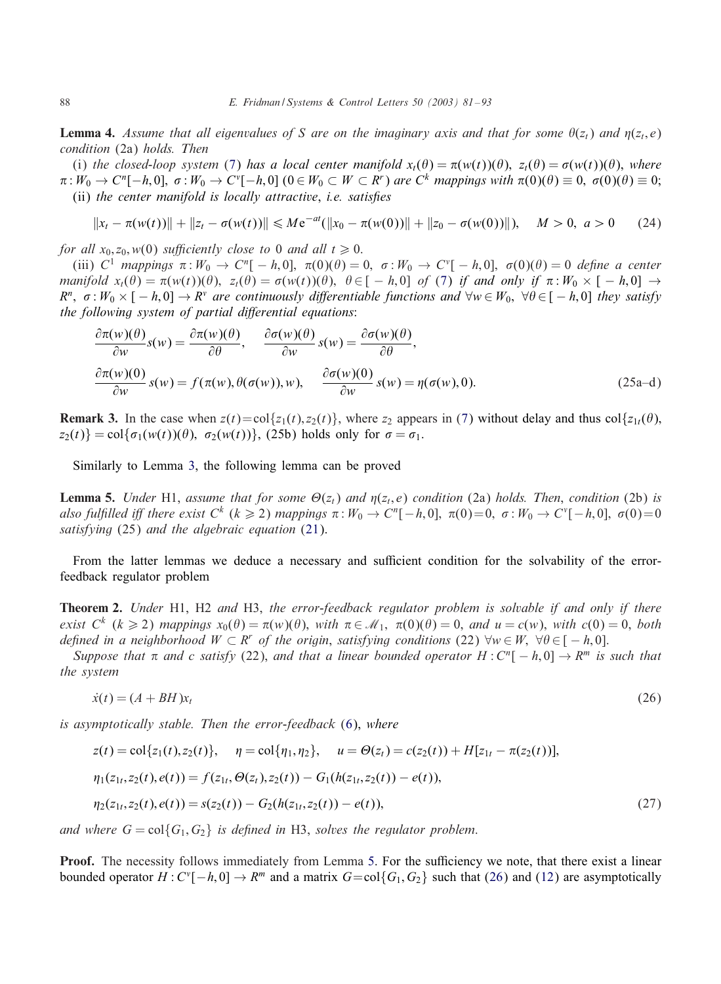<span id="page-7-0"></span>**Lemma 4.** Assume that all eigenvalues of S are on the imaginary axis and that for some  $\theta(z_t)$  and  $\eta(z_t, e)$ *condition* (2a) *holds. Then*

(i) the closed-loop system [\(7\)](#page-2-0) has a local center manifold  $x_t(\theta) = \pi(w(t))(\theta)$ ,  $z_t(\theta) = \sigma(w(t))(\theta)$ , where  $\pi: W_0 \to C^n[-h,0], \sigma: W_0 \to C^v[-h,0]$   $(0 \in W_0 \subset W \subset R^r)$  are  $C^k$  mappings with  $\pi(0)(\theta) \equiv 0, \sigma(0)(\theta) \equiv 0;$ (ii) *the center manifold is locally attractive*, *i.e. satisfies* 

$$
||x_t - \pi(w(t))|| + ||z_t - \sigma(w(t))|| \le Me^{-at}(||x_0 - \pi(w(0))|| + ||z_0 - \sigma(w(0))||), \quad M > 0, \ a > 0 \qquad (24)
$$

*for all*  $x_0$ ,  $z_0$ ,  $w(0)$  *sufficiently close to* 0 *and all*  $t \ge 0$ .

(iii)  $C^1$  mappings  $\pi: W_0 \to C^n[-h,0], \pi(0)(\theta) = 0, \sigma: W_0 \to C^{\nu}[-h,0], \sigma(0)(\theta) = 0$  define a center *manifold*  $x_t(\theta) = \pi(w(t))(\theta)$ ,  $z_t(\theta) = \sigma(w(t))(\theta)$ ,  $\theta \in [-h, 0]$  *of* [\(7\)](#page-2-0) *if and only if*  $\pi : W_0 \times [-h, 0] \rightarrow$  $R^n$ ,  $\sigma: W_0 \times [-h, 0] \to R^v$  *are continuously differentiable functions and*  $\forall w \in W_0$ ,  $\forall \theta \in [-h, 0]$  *they satisfy the following system of partial differential equations:* 

$$
\frac{\partial \pi(w)(\theta)}{\partial w} s(w) = \frac{\partial \pi(w)(\theta)}{\partial \theta}, \quad \frac{\partial \sigma(w)(\theta)}{\partial w} s(w) = \frac{\partial \sigma(w)(\theta)}{\partial \theta},
$$
\n
$$
\frac{\partial \pi(w)(0)}{\partial w} s(w) = f(\pi(w), \theta(\sigma(w)), w), \quad \frac{\partial \sigma(w)(0)}{\partial w} s(w) = \eta(\sigma(w), 0).
$$
\n(25a-d)

**Remark 3.** In the case when  $z(t) = \text{col}\{z_1(t), z_2(t)\}\)$ , where  $z_2$  appears in [\(7\)](#page-2-0) without delay and thus  $\text{col}\{z_1_t(\theta)\}$  $z_2(t)$ } = col{ $\sigma_1(w(t))(\theta)$ ,  $\sigma_2(w(t))$ }, (25b) holds only for  $\sigma = \sigma_1$ .

Similarly to Lemma [3,](#page-6-0) the following lemma can be proved

**Lemma 5.** *Under* H1, *assume that for some*  $\Theta(z_t)$  *and*  $\eta(z_t, e)$  *condition* (2a) *holds. Then, condition* (2b) *is also fulfilled iff there exist*  $C^k$  ( $k \geqslant 2$ ) *mappings*  $\pi : W_0 \to C^n[-h,0], \ \pi(0)=0, \ \sigma : W_0 \to C^v[-h,0], \ \sigma(0)=0$ *satisfying* (25) *and the algebraic equation* [\(21\)](#page-6-0).

From the latter lemmas we deduce a necessary and sufficient condition for the solvability of the errorfeedback regulator problem

Theorem 2. *Under* H1, H2 *and* H3, *the error-feedback regulator problem is solvable if and only if there exist*  $C^k$  ( $k \ge 2$ ) *mappings*  $x_0(\theta) = \pi(w)(\theta)$ , *with*  $\pi \in \mathcal{M}_1$ ,  $\pi(0)(\theta) = 0$ , *and*  $u = c(w)$ , *with*  $c(0) = 0$ , *both defined in a neighborhood*  $W \subset R^r$  *of the origin, satisfying conditions* (22)  $\forall w \in W$ ,  $\forall \theta \in [-h, 0]$ .

*Suppose that*  $\pi$  *and* c *satisfy* (22), *and that a linear bounded operator* H : C<sup>n</sup>[  $- h$ , 0]  $\rightarrow R^m$  *is such that the system*

$$
\dot{x}(t) = (A + BH)x_t \tag{26}
$$

*is asymptotically stable. Then the error-feedback* [\(6\)](#page-2-0), *where*

$$
z(t) = \text{col}\{z_1(t), z_2(t)\}, \quad \eta = \text{col}\{\eta_1, \eta_2\}, \quad u = \Theta(z_t) = c(z_2(t)) + H[z_{1t} - \pi(z_2(t))],
$$
  

$$
\eta_1(z_{1t}, z_2(t), e(t)) = f(z_{1t}, \Theta(z_t), z_2(t)) - G_1(h(z_{1t}, z_2(t)) - e(t)),
$$
  

$$
\eta_2(z_{1t}, z_2(t), e(t)) = s(z_2(t)) - G_2(h(z_{1t}, z_2(t)) - e(t)),
$$
\n(27)

*and where*  $G = col{G_1, G_2}$  *is defined in* H3, *solves the regulator problem.* 

**Proof.** The necessity follows immediately from Lemma 5. For the sufficiency we note, that there exist a linear bounded operator  $H: C^{\nu}[-h, 0] \to R^m$  and a matrix  $G = col{G_1, G_2}$  such that (26) and [\(12\)](#page-3-0) are asymptotically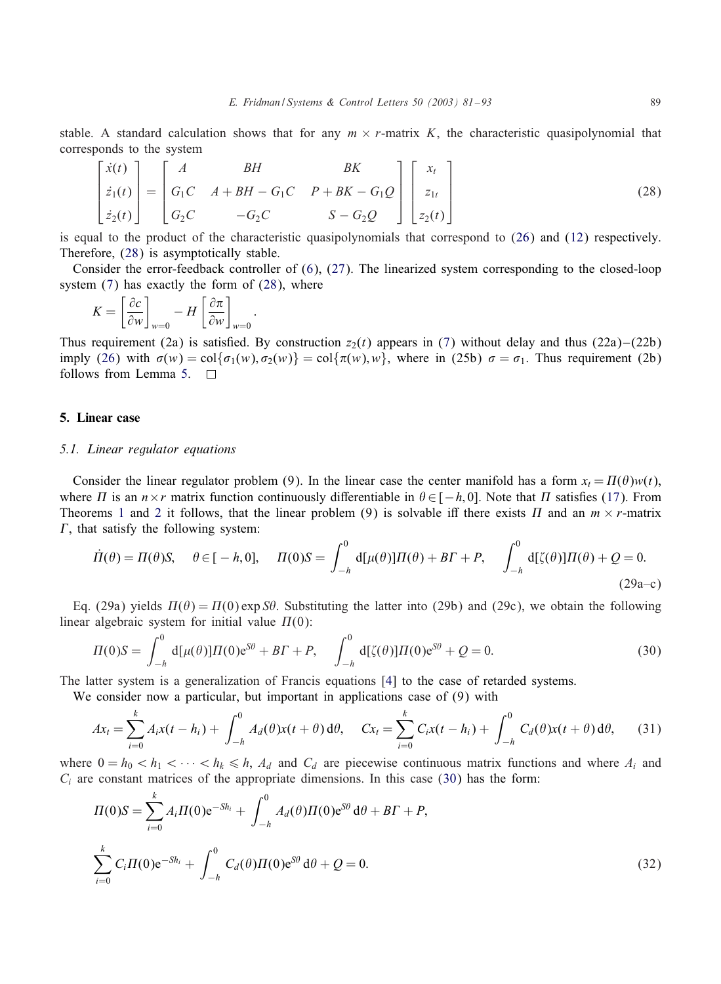<span id="page-8-0"></span>stable. A standard calculation shows that for any  $m \times r$ -matrix K, the characteristic quasipolynomial that corresponds to the system

$$
\begin{bmatrix} \dot{x}(t) \\ \dot{z}_1(t) \\ \dot{z}_2(t) \end{bmatrix} = \begin{bmatrix} A & BH & BK \\ G_1C & A + BH - G_1C & P + BK - G_1Q \\ G_2C & -G_2C & S - G_2Q \end{bmatrix} \begin{bmatrix} x_t \\ z_{1t} \\ z_2(t) \end{bmatrix}
$$
(28)

is equal to the product of the characteristic quasipolynomials that correspond to [\(26\)](#page-7-0) and [\(12\)](#page-3-0) respectively. Therefore, (28) is asymptotically stable.

Consider the error-feedback controller of [\(6\)](#page-2-0), [\(27\)](#page-7-0). The linearized system corresponding to the closed-loop system [\(7\)](#page-2-0) has exactly the form of (28), where

$$
K = \left[\frac{\partial c}{\partial w}\right]_{w=0} - H \left[\frac{\partial \pi}{\partial w}\right]_{w=0}
$$

:

Thus requirement (2a) is satisfied. By construction  $z_2(t)$  appears in [\(7\)](#page-2-0) without delay and thus (22a)–(22b) imply [\(26\)](#page-7-0) with  $\sigma(w) = \text{col}\{\sigma_1(w), \sigma_2(w)\} = \text{col}\{\pi(w), w\}$ , where in (25b)  $\sigma = \sigma_1$ . Thus requirement (2b) follows from Lemma [5.](#page-7-0)

# 5. Linear case

#### *5.1. Linear regulator equations*

Consider the linear regulator problem (9). In the linear case the center manifold has a form  $x_t = \Pi(\theta)w(t)$ , where  $\Pi$  is an  $n \times r$  matrix function continuously differentiable in  $\theta \in [-h, 0]$ . Note that  $\Pi$  satisfies [\(17\)](#page-4-0). From Theorems [1](#page-6-0) and [2](#page-7-0) it follows, that the linear problem (9) is solvable iff there exists  $\Pi$  and an  $m \times r$ -matrix  $\Gamma$ , that satisfy the following system:

$$
\dot{\Pi}(\theta) = \Pi(\theta)S, \quad \theta \in [-h, 0], \quad \Pi(0)S = \int_{-h}^{0} d[\mu(\theta)]\Pi(\theta) + BF + P, \quad \int_{-h}^{0} d[\zeta(\theta)]\Pi(\theta) + Q = 0.
$$
\n(29a-c)

Eq. (29a) yields  $\Pi(\theta) = \Pi(0) \exp \theta$ . Substituting the latter into (29b) and (29c), we obtain the following linear algebraic system for initial value  $\Pi(0)$ :

$$
\Pi(0)S = \int_{-h}^{0} d[\mu(\theta)] \Pi(0) e^{S\theta} + B\Gamma + P, \quad \int_{-h}^{0} d[\zeta(\theta)] \Pi(0) e^{S\theta} + Q = 0.
$$
 (30)

The latter system is a generalization of Francis equations [\[4\]](#page-12-0) to the case of retarded systems.

We consider now a particular, but important in applications case of (9) with

$$
Ax_t = \sum_{i=0}^k A_i x(t - h_i) + \int_{-h}^0 A_d(\theta) x(t + \theta) d\theta, \quad Cx_t = \sum_{i=0}^k C_i x(t - h_i) + \int_{-h}^0 C_d(\theta) x(t + \theta) d\theta,
$$
 (31)

where  $0 = h_0 < h_1 < \cdots < h_k \le h$ ,  $A_d$  and  $C_d$  are piecewise continuous matrix functions and where  $A_i$  and  $C_i$  are constant matrices of the appropriate dimensions. In this case (30) has the form:

$$
\Pi(0)S = \sum_{i=0}^{k} A_i \Pi(0) e^{-Sh_i} + \int_{-h}^{0} A_d(\theta) \Pi(0) e^{S\theta} d\theta + BT + P,
$$
  

$$
\sum_{i=0}^{k} C_i \Pi(0) e^{-Sh_i} + \int_{-h}^{0} C_d(\theta) \Pi(0) e^{S\theta} d\theta + Q = 0.
$$
 (32)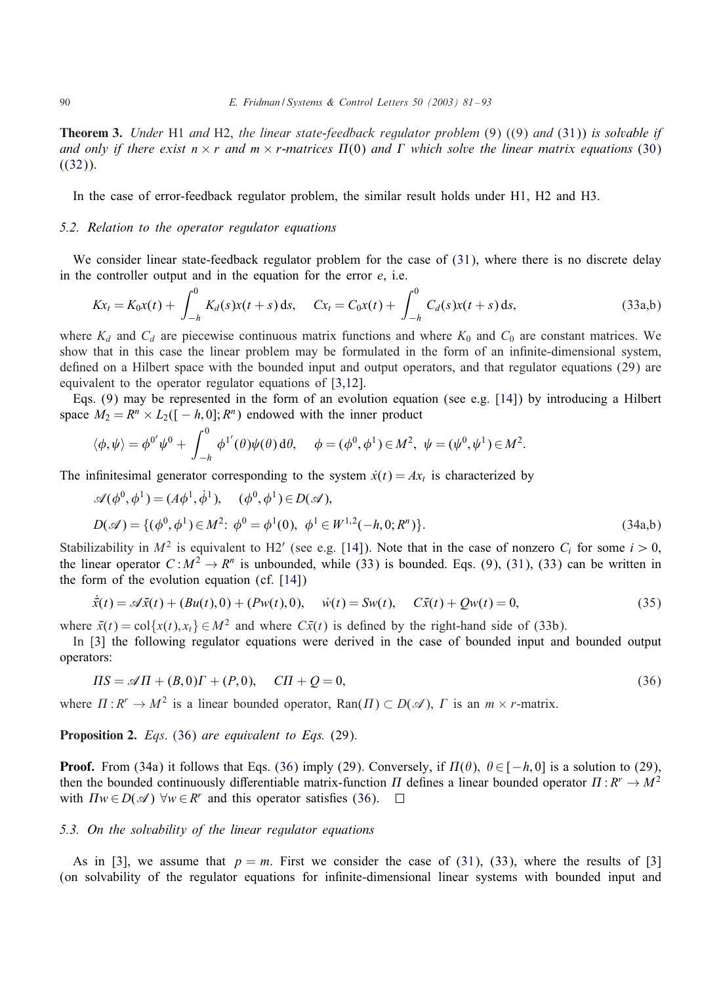<span id="page-9-0"></span>Theorem 3. *Under* H1 *and* H2, *the linear state-feedback regulator problem* (9) ((9) *and* [\(31\)](#page-8-0)) *is solvable if* and only if there exist  $n \times r$  and  $m \times r$ -matrices  $\Pi(0)$  and  $\Gamma$  which solve the linear matrix equations [\(30\)](#page-8-0)  $((32))$  $((32))$  $((32))$ .

In the case of error-feedback regulator problem, the similar result holds under H1, H2 and H3.

### *5.2. Relation to the operator regulator equations*

We consider linear state-feedback regulator problem for the case of [\(31\)](#page-8-0), where there is no discrete delay in the controller output and in the equation for the error  $e$ , i.e.

$$
Kx_t = K_0x(t) + \int_{-h}^{0} K_d(s)x(t+s)ds
$$
,  $Cx_t = C_0x(t) + \int_{-h}^{0} C_d(s)x(t+s)ds$ , (33a,b)

where  $K_d$  and  $C_d$  are piecewise continuous matrix functions and where  $K_0$  and  $C_0$  are constant matrices. We show that in this case the linear problem may be formulated in the form of an infinite-dimensional system, defined on a Hilbert space with the bounded input and output operators, and that regulator equations (29) are equivalent to the operator regulator equations of [\[3,12\]](#page-12-0).

Eqs. (9) may be represented in the form of an evolution equation (see e.g. [\[14\]](#page-12-0)) by introducing a Hilbert space  $M_2 = R^n \times L_2([-h, 0]; R^n)$  endowed with the inner product

$$
\langle \phi, \psi \rangle = \phi^{0'} \psi^0 + \int_{-h}^{0} \phi^{1'}(\theta) \psi(\theta) d\theta, \quad \phi = (\phi^0, \phi^1) \in M^2, \ \psi = (\psi^0, \psi^1) \in M^2.
$$

The infinitesimal generator corresponding to the system  $\dot{x}(t) = Ax_t$  is characterized by

$$
\mathscr{A}(\phi^0, \phi^1) = (A\phi^1, \dot{\phi}^1), \quad (\phi^0, \phi^1) \in D(\mathscr{A}),
$$
  
 
$$
D(\mathscr{A}) = \{(\phi^0, \phi^1) \in M^2: \phi^0 = \phi^1(0), \phi^1 \in W^{1,2}(-h, 0; R^n)\}.
$$
 (34a,b)

Stabilizability in  $M^2$  is equivalent to H2' (see e.g. [\[14\]](#page-12-0)). Note that in the case of nonzero  $C_i$  for some  $i > 0$ , the linear operator  $C: M^2 \to R^n$  is unbounded, while (33) is bounded. Eqs. (9), [\(31\)](#page-8-0), (33) can be written in the form of the evolution equation (cf. [\[14\]](#page-12-0))

$$
\dot{\bar{x}}(t) = \mathscr{A}\bar{x}(t) + (Bu(t), 0) + (Pw(t), 0), \quad \dot{w}(t) = Sw(t), \quad C\bar{x}(t) + Qw(t) = 0,
$$
\n(35)

where  $\bar{x}(t) = \text{col}\{x(t), x_t\} \in M^2$  and where  $C\bar{x}(t)$  is defined by the right-hand side of (33b).

In [\[3\]](#page-12-0) the following regulator equations were derived in the case of bounded input and bounded output operators:

$$
\Pi S = \mathcal{A}\Pi + (B, 0)\Gamma + (P, 0), \quad \text{CI} + \mathcal{Q} = 0,\tag{36}
$$

where  $\Pi : R^r \to M^2$  is a linear bounded operator,  $\text{Ran}(\Pi) \subset D(\mathscr{A})$ ,  $\Gamma$  is an  $m \times r$ -matrix.

Proposition 2. *Eqs*. (36) *are equivalent to Eqs.* (29).

**Proof.** From (34a) it follows that Eqs. (36) imply (29). Conversely, if  $\Pi(\theta)$ ,  $\theta \in [-h, 0]$  is a solution to (29), then the bounded continuously differentiable matrix-function  $\Pi$  defines a linear bounded operator  $\Pi : R^r \to M^2$ with  $\Pi w \in D(\mathcal{A})$   $\forall w \in R^r$  and this operator satisfies (36).  $\Box$ 

## *5.3. On the solvability of the linear regulator equations*

As in [\[3\]](#page-12-0), we assume that  $p = m$ . First we consider the case of [\(31\)](#page-8-0), (33), where the results of [3] (on solvability of the regulator equations for infinite-dimensional linear systems with bounded input and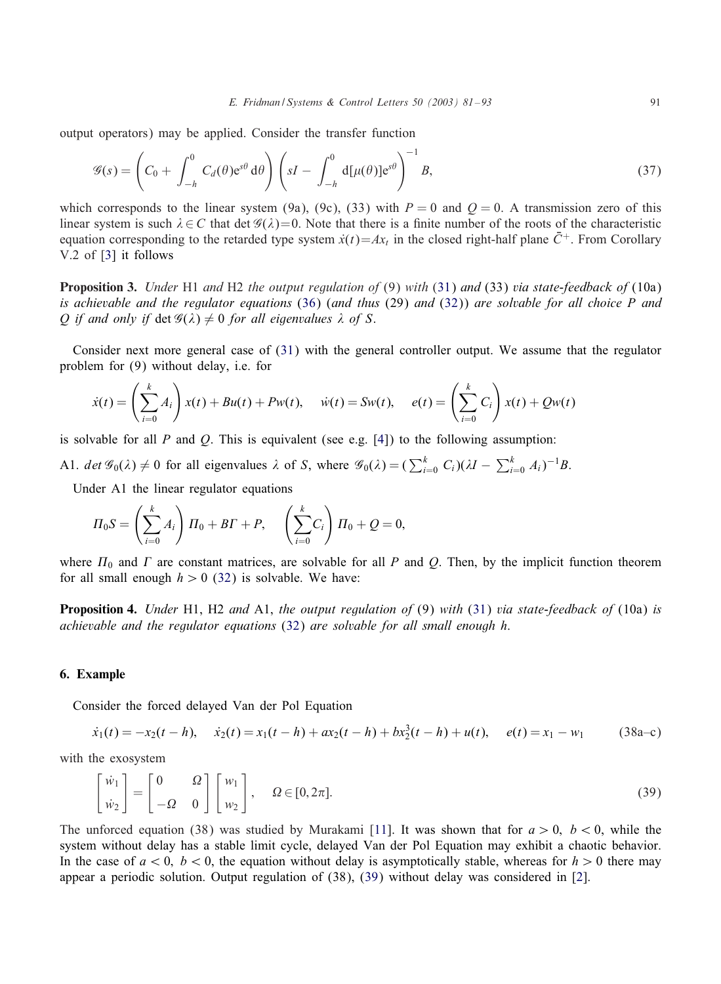<span id="page-10-0"></span>output operators) may be applied. Consider the transfer function

$$
\mathscr{G}(s) = \left(C_0 + \int_{-h}^0 C_d(\theta) e^{s\theta} d\theta\right) \left(sI - \int_{-h}^0 d[\mu(\theta)] e^{s\theta}\right)^{-1} B,
$$
\n(37)

which corresponds to the linear system (9a), (9c), (33) with  $P = 0$  and  $Q = 0$ . A transmission zero of this linear system is such  $\lambda \in C$  that det  $\mathscr{G}(\lambda)=0$ . Note that there is a finite number of the roots of the characteristic equation corresponding to the retarded type system  $\dot{x}(t) = Ax$ , in the closed right-half plane  $\bar{C}^+$ . From Corollary V.2 of [\[3\]](#page-12-0) it follows

Proposition 3. *Under* H1 *and* H2 *the output regulation of* (9) *with* [\(31\)](#page-8-0) *and* (33) *via state-feedback of* (10a) *is achievable and the regulator equations* [\(36\)](#page-9-0) (*and thus* (29) *and* [\(32\)](#page-8-0)) *are solvable for all choice* P *and* O if and only if  $\det \mathcal{G}(\lambda) \neq 0$  for all eigenvalues  $\lambda$  of S.

Consider next more general case of [\(31\)](#page-8-0) with the general controller output. We assume that the regulator problem for (9) without delay, i.e. for

$$
\dot{x}(t) = \left(\sum_{i=0}^k A_i\right) x(t) + Bu(t) + Pw(t), \quad \dot{w}(t) = Sw(t), \quad e(t) = \left(\sum_{i=0}^k C_i\right) x(t) + Qw(t)
$$

is solvable for all P and O. This is equivalent (see e.g. [\[4\]](#page-12-0)) to the following assumption:

A1.  $\det \mathcal{G}_0(\lambda) \neq 0$  for all eigenvalues  $\lambda$  of S, where  $\mathcal{G}_0(\lambda) = \left(\sum_{i=0}^k C_i\right)(\lambda I - \sum_{i=0}^k A_i)^{-1}B$ .

Under A1 the linear regulator equations

$$
\Pi_0 S = \left(\sum_{i=0}^k A_i\right) \Pi_0 + B\Gamma + P, \quad \left(\sum_{i=0}^k C_i\right) \Pi_0 + Q = 0,
$$

where  $\Pi_0$  and  $\Gamma$  are constant matrices, are solvable for all P and Q. Then, by the implicit function theorem for all small enough  $h > 0$  [\(32\)](#page-8-0) is solvable. We have:

Proposition 4. *Under* H1, H2 *and* A1, *the output regulation of* (9) *with* [\(31\)](#page-8-0) *via state-feedback of* (10a) *is achievable andthe regulator equations* [\(32\)](#page-8-0) *are solvable for all small enough* h.

#### 6. Example

Consider the forced delayed Van der Pol Equation

$$
\dot{x}_1(t) = -x_2(t-h), \quad \dot{x}_2(t) = x_1(t-h) + ax_2(t-h) + bx_2^3(t-h) + u(t), \quad e(t) = x_1 - w_1 \tag{38a-c}
$$

with the exosystem

$$
\begin{bmatrix} \dot{w}_1 \\ \dot{w}_2 \end{bmatrix} = \begin{bmatrix} 0 & \Omega \\ -\Omega & 0 \end{bmatrix} \begin{bmatrix} w_1 \\ w_2 \end{bmatrix}, \quad \Omega \in [0, 2\pi].
$$
\n(39)

The unforced equation (38) was studied by Murakami [\[11\]](#page-12-0). It was shown that for  $a > 0$ ,  $b < 0$ , while the system without delay has a stable limit cycle, delayed Van der Pol Equation may exhibit a chaotic behavior. In the case of  $a < 0$ ,  $b < 0$ , the equation without delay is asymptotically stable, whereas for  $h > 0$  there may appear a periodic solution. Output regulation of (38), (39) without delay was considered in [\[2\]](#page-12-0).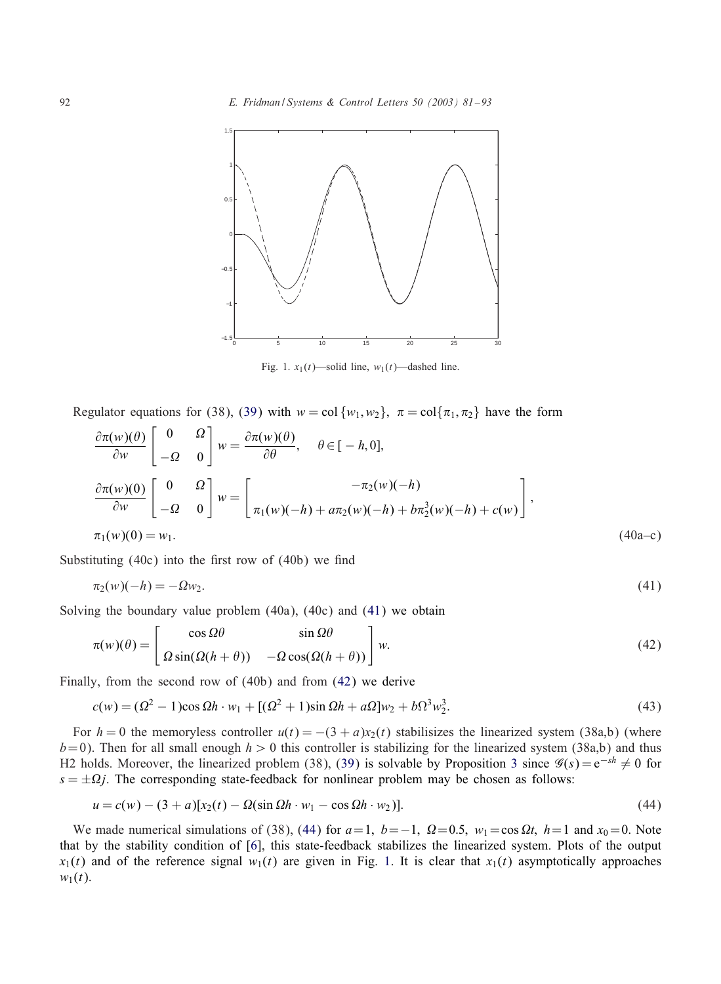

Fig. 1.  $x_1(t)$ —solid line,  $w_1(t)$ —dashed line.

Regulator equations for (38), [\(39\)](#page-10-0) with  $w = \text{col}\{w_1, w_2\}$ ,  $\pi = \text{col}\{\pi_1, \pi_2\}$  have the form

$$
\frac{\partial \pi(w)(\theta)}{\partial w} \begin{bmatrix} 0 & \Omega \\ -\Omega & 0 \end{bmatrix} w = \frac{\partial \pi(w)(\theta)}{\partial \theta}, \quad \theta \in [-h, 0],
$$
  

$$
\frac{\partial \pi(w)(0)}{\partial w} \begin{bmatrix} 0 & \Omega \\ -\Omega & 0 \end{bmatrix} w = \begin{bmatrix} -\pi_2(w)(-h) \\ \pi_1(w)(-h) + a\pi_2(w)(-h) + b\pi_2^3(w)(-h) + c(w) \end{bmatrix},
$$
  

$$
\pi_1(w)(0) = w_1.
$$
 (40a-c)

Substituting  $(40c)$  into the first row of  $(40b)$  we find

$$
\pi_2(w)(-h) = -\Omega w_2. \tag{41}
$$

Solving the boundary value problem (40a), (40c) and (41) we obtain

$$
\pi(w)(\theta) = \begin{bmatrix} \cos \Omega \theta & \sin \Omega \theta \\ \Omega \sin(\Omega(h+\theta)) & -\Omega \cos(\Omega(h+\theta)) \end{bmatrix} w.
$$
\n(42)

Finally, from the second row of (40b) and from (42) we derive

$$
c(w) = (\Omega^2 - 1)\cos \Omega h \cdot w_1 + [(\Omega^2 + 1)\sin \Omega h + a\Omega]w_2 + b\Omega^3 w_2^3.
$$
 (43)

For  $h = 0$  the memoryless controller  $u(t) = -(3 + a)x_2(t)$  stabilisizes the linearized system (38a,b) (where  $b= 0$ ). Then for all small enough  $h > 0$  this controller is stabilizing for the linearized system (38a,b) and thus H2 holds. Moreover, the linearized problem (38), [\(39\)](#page-10-0) is solvable by Proposition [3](#page-10-0) since  $\mathscr{G}(s)=e^{-sh} \neq 0$  for  $s = \pm \Omega j$ . The corresponding state-feedback for nonlinear problem may be chosen as follows:

$$
u = c(w) - (3 + a)[x_2(t) - \Omega(\sin \Omega h \cdot w_1 - \cos \Omega h \cdot w_2)].
$$
\n(44)

We made numerical simulations of (38), (44) for  $a=1$ ,  $b=-1$ ,  $\Omega=0.5$ ,  $w_1=\cos \Omega t$ ,  $h=1$  and  $x_0=0$ . Note that by the stability condition of [\[6\]](#page-12-0), this state-feedback stabilizes the linearized system. Plots of the output  $x_1(t)$  and of the reference signal  $w_1(t)$  are given in Fig. 1. It is clear that  $x_1(t)$  asymptotically approaches  $w_1(t)$ .